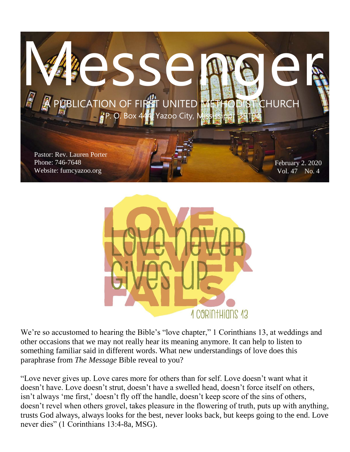



We're so accustomed to hearing the Bible's "love chapter," 1 Corinthians 13, at weddings and other occasions that we may not really hear its meaning anymore. It can help to listen to something familiar said in different words. What new understandings of love does this paraphrase from *The Message* Bible reveal to you?

"Love never gives up. Love cares more for others than for self. Love doesn't want what it doesn't have. Love doesn't strut, doesn't have a swelled head, doesn't force itself on others, isn't always 'me first,' doesn't fly off the handle, doesn't keep score of the sins of others, doesn't revel when others grovel, takes pleasure in the flowering of truth, puts up with anything, trusts God always, always looks for the best, never looks back, but keeps going to the end. Love never dies" (1 Corinthians 13:4-8a, MSG).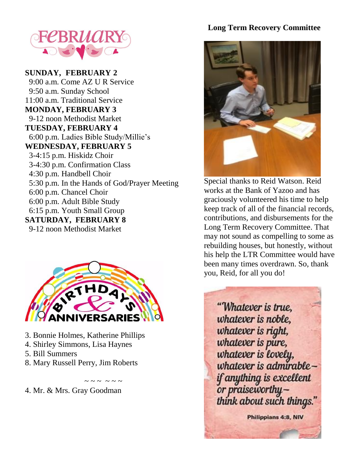

**SUNDAY, FEBRUARY 2** 9:00 a.m. Come AZ U R Service 9:50 a.m. Sunday School 11:00 a.m. Traditional Service **MONDAY, FEBRUARY 3** 9-12 noon Methodist Market **TUESDAY, FEBRUARY 4** 6:00 p.m. Ladies Bible Study/Millie's **WEDNESDAY, FEBRUARY 5** 3-4:15 p.m. Hiskidz Choir 3-4:30 p.m. Confirmation Class 4:30 p.m. Handbell Choir 5:30 p.m. In the Hands of God/Prayer Meeting 6:00 p.m. Chancel Choir 6:00 p.m. Adult Bible Study 6:15 p.m. Youth Small Group **SATURDAY, FEBRUARY 8** 9-12 noon Methodist Market



- 3. Bonnie Holmes, Katherine Phillips
- 4. Shirley Simmons, Lisa Haynes
- 5. Bill Summers
- 8. Mary Russell Perry, Jim Roberts

 $\sim$   $\sim$   $\sim$   $\sim$   $\sim$   $\sim$ 4. Mr. & Mrs. Gray Goodman

#### **Long Term Recovery Committee**



Special thanks to Reid Watson. Reid works at the Bank of Yazoo and has graciously volunteered his time to help keep track of all of the financial records, contributions, and disbursements for the Long Term Recovery Committee. That may not sound as compelling to some as rebuilding houses, but honestly, without his help the LTR Committee would have been many times overdrawn. So, thank you, Reid, for all you do!

"Whatever is true. whatever is noble, whatever is right, whatever is pure, whatever is lovely,<br>whatever is admirable if anything is excellent or praiseworthythink about such things."

Philippians 4:8, NIV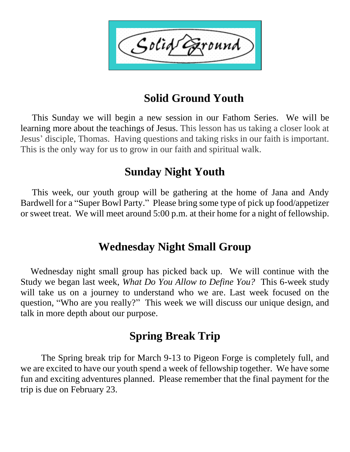Solid ound

## **Solid Ground Youth**

 This Sunday we will begin a new session in our Fathom Series. We will be learning more about the teachings of Jesus. This lesson has us taking a closer look at Jesus' disciple, Thomas. Having questions and taking risks in our faith is important. This is the only way for us to grow in our faith and spiritual walk.

### **Sunday Night Youth**

 This week, our youth group will be gathering at the home of Jana and Andy Bardwell for a "Super Bowl Party." Please bring some type of pick up food/appetizer or sweet treat. We will meet around 5:00 p.m. at their home for a night of fellowship.

### **Wednesday Night Small Group**

 Wednesday night small group has picked back up. We will continue with the Study we began last week, *What Do You Allow to Define You?* This 6-week study will take us on a journey to understand who we are. Last week focused on the question, "Who are you really?" This week we will discuss our unique design, and talk in more depth about our purpose.

## **Spring Break Trip**

The Spring break trip for March 9-13 to Pigeon Forge is completely full, and we are excited to have our youth spend a week of fellowship together. We have some fun and exciting adventures planned. Please remember that the final payment for the trip is due on February 23.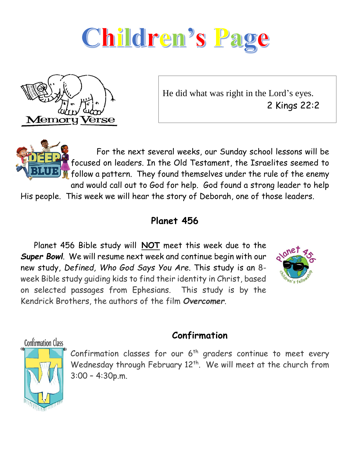



He did what was right in the Lord's eyes. 2 Kings 22:2

 For the next several weeks, our Sunday school lessons will be focused on leaders. In the Old Testament, the Israelites seemed to follow a pattern. They found themselves under the rule of the enemy and would call out to God for help. God found a strong leader to help His people. This week we will hear the story of Deborah, one of those leaders.

#### **Planet 456**

 Planet 456 Bible study will **NOT** meet this week due to the *Super Bowl*. We will resume next week and continue begin with our new study, *Defined, Who God Says You Are*. This study is an 8 week Bible study guiding kids to find their identity in Christ, based on selected passages from Ephesians. This study is by the Kendrick Brothers, the authors of the film *Overcomer*.



**Confirmation Class** 



### **Confirmation**

Confirmation classes for our  $6<sup>th</sup>$  graders continue to meet every Wednesday through February 12<sup>th</sup>. We will meet at the church from 3:00 – 4:30p.m.